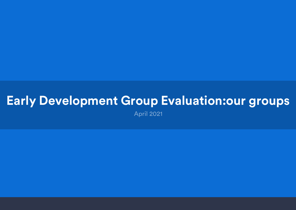April 2021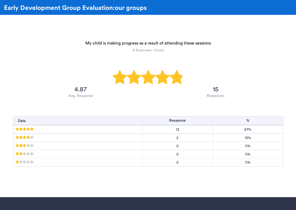My child is making progress as a result of attending these sessions

15 Responses- 1 Empty

15



| Data  | Response | %   |
|-------|----------|-----|
| ***** | 13       | 87% |
| ***** |          | 13% |
| ***** | 0        | 0%  |
| ***** | 0        | 0%  |
| ***** |          | 0%  |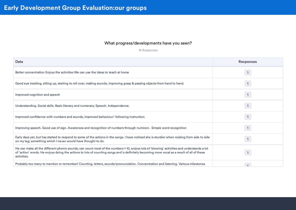#### What progress/developments have you seen?

16 Responses

| Data                                                                                                                                                                                                                                                                                                    | <b>Responses</b> |
|---------------------------------------------------------------------------------------------------------------------------------------------------------------------------------------------------------------------------------------------------------------------------------------------------------|------------------|
| Better concentration Enjoys the activities We can use the ideas to teach at home                                                                                                                                                                                                                        |                  |
| Good eye tracking, sitting up, starting to roll over, making sounds, improving grasp & passing objects from hand to hand.                                                                                                                                                                               |                  |
| Improved cognition and speech                                                                                                                                                                                                                                                                           |                  |
| Understanding. Social skills. Basic literacy and numeracy. Speech. Independence.                                                                                                                                                                                                                        |                  |
| Improved confidence with numbers and sounds, improved behaviour/following instruction.                                                                                                                                                                                                                  |                  |
| Improving speech. Good use of sign. Awareness and recognition of numbers through numicon. Simple word recognition                                                                                                                                                                                       | $\mathbf{1}$     |
| Early days yet, but has started to respond to some of the actions in the songs. I have noticed she is sturdier when rocking from side to side<br>on my leg; something which I never would have thought to do.                                                                                           |                  |
| He can make all the different phonic sounds, can count most of the numbers 1-10, enjoys lots of 'blowing' activities and understands a lot<br>of 'action' words. He enjoys doing the actions to lots of counting songs and is definitely becoming more vocal as a result of all of these<br>activities. |                  |
| Probably too many to mention or remember! Counting, letters, sounds/pronunciation. Concentration and listening. Various milestones                                                                                                                                                                      |                  |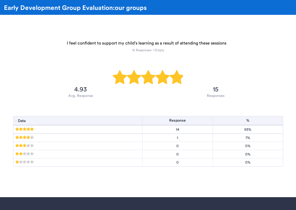I feel confident to support my child's learning as a result of attending these sessions



| Data  | Response | %   |
|-------|----------|-----|
| ***** | 14       | 93% |
| ***** |          | 7%  |
| ***** | 0        | 0%  |
| ***** | 0        | 0%  |
| ***** | 0        | 0%  |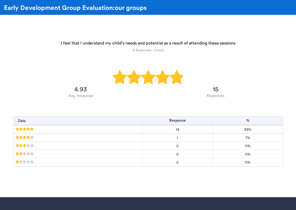I feel that I understand my child's needs and potential as a result of attending these sessions



| Data  | Response | %   |
|-------|----------|-----|
| ***** | 14       | 93% |
| ***** |          | 7%  |
| ***** | 0        | 0%  |
| ***** | 0        | 0%  |
| ***** |          | 0%  |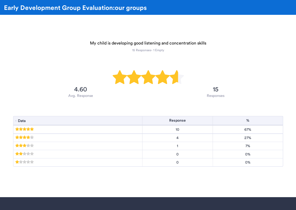My child is developing good listening and concentration skills



| Data  | Response | %   |
|-------|----------|-----|
| ***** | 10       | 67% |
| ***** | 4        | 27% |
| ***** |          | 7%  |
| ***** | 0        | 0%  |
| ***** |          | 0%  |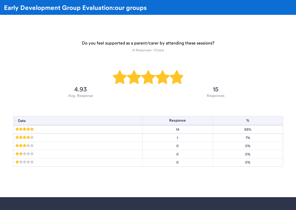Do you feel supported as a parent/carer by attending these sessions?



| Data  | Response | %   |
|-------|----------|-----|
| ***** | 14       | 93% |
| ***** |          | 7%  |
| ***** | 0        | 0%  |
| ***** | 0        | 0%  |
| ***** | 0        | 0%  |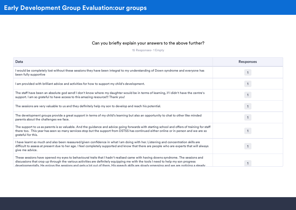#### Can you briefly explain your answers to the above further?

| Data                                                                                                                                                                                                                                                                                                                                                                                                             | <b>Responses</b> |
|------------------------------------------------------------------------------------------------------------------------------------------------------------------------------------------------------------------------------------------------------------------------------------------------------------------------------------------------------------------------------------------------------------------|------------------|
| I would be completely lost without these sessions they have been integral to my understanding of Down syndrome and everyone has<br>been fully supportive                                                                                                                                                                                                                                                         | $\mathbf{1}$     |
| I am provided with brilliant advice and activities for how to support my child's development.                                                                                                                                                                                                                                                                                                                    | $\mathbf{1}$     |
| The staff have been an absolute god send! I don't know where my daughter would be in terms of learning, if I didn't have the centre's<br>support. I am so grateful to have access to this amazing resource!!! Thank you!                                                                                                                                                                                         |                  |
| The sessions are very valuable to us and they definitely help my son to develop and reach his potential.                                                                                                                                                                                                                                                                                                         |                  |
| The development groups provide a great support in terms of my child's learning but also an opportunity to chat to other like minded<br>parents about the challenges we face.                                                                                                                                                                                                                                     | 1                |
| The support to us as parents is so valuable. And the guidance and advice going forwards with starting school and offers of training for staff<br>there too. This year has seen so many services stop but the support from DSTSS has continued either online or in person and we are so<br>grateful for this.                                                                                                     | $\mathbf{1}$     |
| I have learnt so much and also been reassured/given confidence in what I am doing with her. Listening and concentration skills are<br>difficult to assess at present due to her age. I feel completely supported and know that there are people who are experts that will always<br>give me advice.                                                                                                              |                  |
| These sessions have opened my eyes to behavioural traits that I hadn't realised came with having downs syndrome. The sessions and<br>discussions that crop up through the various activities are definitely equipping me with the tools I need to help my son progress<br>developmentally. He eniovs the sessions and gets a lot out of them. His speech skills are slowly emerging and we are noticing a steady |                  |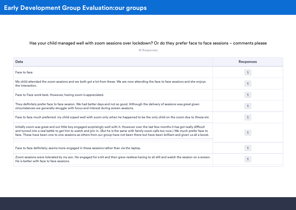#### Has your child managed well with zoom sessions over lockdown? Or do they prefer face to face sessions – comments please

16 Responses

| Data                                                                                                                                                                                                                                                                                                                                                                                                                                  | <b>Responses</b> |
|---------------------------------------------------------------------------------------------------------------------------------------------------------------------------------------------------------------------------------------------------------------------------------------------------------------------------------------------------------------------------------------------------------------------------------------|------------------|
| Face to face                                                                                                                                                                                                                                                                                                                                                                                                                          |                  |
| My child attended the zoom sessions and we both got a lot from these. We are now attending the face to face sessions and she enjoys<br>the interaction.                                                                                                                                                                                                                                                                               |                  |
| Face to Face work best. However, having zoom is appreciated.                                                                                                                                                                                                                                                                                                                                                                          |                  |
| They definitely prefer face to face session. We had better days and not so good. Although the delivery of sessions was great given<br>circumstances we generally struggle with focus and interest during screen sessions.                                                                                                                                                                                                             |                  |
| Face to face much preferred, my child coped well with zoom only when he happened to be the only child on the zoom due to illness etc                                                                                                                                                                                                                                                                                                  |                  |
| Initially zoom was great and out little boy engaged surprisingly well with it. However over the last few months it has got really difficult<br>and turned into a real battle to get him to watch and join in. (But he is the same with family zoom calls too now.) We much prefer face to<br>face. These have been one to one sessions as others from our group have not been there but have been brilliant and given us all a boost. |                  |
| Face to face definitely; seems more engaged in these sessions rather than via the laptop.                                                                                                                                                                                                                                                                                                                                             |                  |
| Zoom sessions were tolerated by my son. He engaged for a bit and then grew restless having to sit still and watch the session on a screen.<br>He is better with face to face sessions.                                                                                                                                                                                                                                                |                  |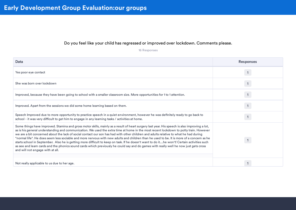#### Do you feel like your child has regressed or improved over lockdown. Comments please.

16 Responses

| Data                                                                                                                                                                                                                                                                                                                                                                                                                                                                                                                                                                                                                                                                                                                                                                                                                                                                                                     | <b>Responses</b> |
|----------------------------------------------------------------------------------------------------------------------------------------------------------------------------------------------------------------------------------------------------------------------------------------------------------------------------------------------------------------------------------------------------------------------------------------------------------------------------------------------------------------------------------------------------------------------------------------------------------------------------------------------------------------------------------------------------------------------------------------------------------------------------------------------------------------------------------------------------------------------------------------------------------|------------------|
| Yes poor eye contact                                                                                                                                                                                                                                                                                                                                                                                                                                                                                                                                                                                                                                                                                                                                                                                                                                                                                     |                  |
| She was born over lockdown                                                                                                                                                                                                                                                                                                                                                                                                                                                                                                                                                                                                                                                                                                                                                                                                                                                                               |                  |
| Improved, because they have been going to school with a smaller classroom size. More opportunities for 1 to 1 attention.                                                                                                                                                                                                                                                                                                                                                                                                                                                                                                                                                                                                                                                                                                                                                                                 |                  |
| Improved. Apart from the sessions we did some home learning based on them.                                                                                                                                                                                                                                                                                                                                                                                                                                                                                                                                                                                                                                                                                                                                                                                                                               |                  |
| Speech Improved due to more opportunity to practice speech in a quiet environment, however he was definitely ready to go back to<br>school - it was very difficult to get him to engage in any learning tasks / activities at home.                                                                                                                                                                                                                                                                                                                                                                                                                                                                                                                                                                                                                                                                      |                  |
| Some things have improved. Stamina and gross motor skills, mainly as a result of heart surgery last year. His speech is also improving a lot,<br>as is his general understanding and communication. We used the extra time at home in the most recent lockdown to potty train. However<br>we are a bit concerned about the lack of social contact our son has had with other children and adults relative to what he had during<br>"normal life". He does seem less sociable and more nervous with new adults and children than he used to be. It is more of a concern as he<br>starts school in September. Also he is getting more difficult to keep on task. If he doesn't want to do ithe won't! Certain activities such<br>as see and learn cards and the phonics sound cards which previously he could say and do games with really well he now just gets cross<br>and will not engage with at all. |                  |
|                                                                                                                                                                                                                                                                                                                                                                                                                                                                                                                                                                                                                                                                                                                                                                                                                                                                                                          |                  |
| Not really applicable to us due to her age.                                                                                                                                                                                                                                                                                                                                                                                                                                                                                                                                                                                                                                                                                                                                                                                                                                                              |                  |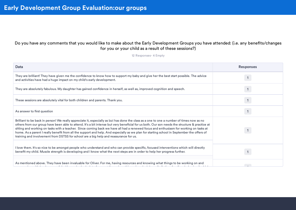#### Do you have any comments that you would like to make about the Early Development Groups you have attended: (i.e. any benefits/changes for you or your child as a result of these sessions?)

| Data                                                                                                                                                                                                                                                                                                                                                                                                                                                                                                                                                                                                                                                                        | <b>Responses</b> |
|-----------------------------------------------------------------------------------------------------------------------------------------------------------------------------------------------------------------------------------------------------------------------------------------------------------------------------------------------------------------------------------------------------------------------------------------------------------------------------------------------------------------------------------------------------------------------------------------------------------------------------------------------------------------------------|------------------|
| They are brilliant! They have given me the confidence to know how to support my baby and give her the best start possible. The advice<br>and activities have had a huge impact on my child's early development.                                                                                                                                                                                                                                                                                                                                                                                                                                                             |                  |
| They are absolutely fabulous. My daughter has gained confidence in herself, as well as, improved cognition and speech.                                                                                                                                                                                                                                                                                                                                                                                                                                                                                                                                                      |                  |
| These sessions are absolutely vital for both children and parents. Thank you.                                                                                                                                                                                                                                                                                                                                                                                                                                                                                                                                                                                               |                  |
| As answer to first question                                                                                                                                                                                                                                                                                                                                                                                                                                                                                                                                                                                                                                                 |                  |
| Brilliant to be back in person! We really appreciate it, especially as Izzi has done the class as a one to one a number of times now as no<br>others from our group have been able to attend. It's a bit intense but very beneficial for us both. Our son needs the structure & practice at<br>sitting and working on tasks with a teacher. Since coming back we have all had a renewed focus and enthusiasm for working on tasks at<br>home. As a parent I really benefit from all the support and help. And especially as we plan for starting school in September the offers of<br>training and involvement from DSTSS for school are a big help and reassurance for us. |                  |
| I love them. It's so nice to be amongst people who understand and who can provide specific, focused interventions which will directly<br>benefit my child. Muscle strength is developing and I know what the next steps are in order to help her progress further.                                                                                                                                                                                                                                                                                                                                                                                                          |                  |
| As mentioned above. They have been invaluable for Oliver. For me, having resources and knowing what things to be working on and<br>$\lambda$ and the set of the set of the set of the set of the set of the set of the set of the set of the set of the set of the set of the set of the set of the set of the set of the set of the set of the set of the set of the                                                                                                                                                                                                                                                                                                       |                  |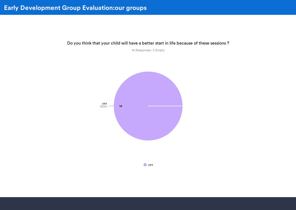Do you think that your child will have a better start in life because of these sessions ?

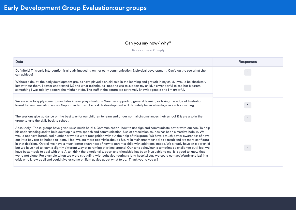#### Can you say how/ why?

| Data                                                                                                                                                                                                                                                                                                                                                                                                                                                                                                                                                                                                                                                                                                                                                                                                                                                                                                                                                                                                                                                                                                                                                                                                                                                  | <b>Responses</b> |
|-------------------------------------------------------------------------------------------------------------------------------------------------------------------------------------------------------------------------------------------------------------------------------------------------------------------------------------------------------------------------------------------------------------------------------------------------------------------------------------------------------------------------------------------------------------------------------------------------------------------------------------------------------------------------------------------------------------------------------------------------------------------------------------------------------------------------------------------------------------------------------------------------------------------------------------------------------------------------------------------------------------------------------------------------------------------------------------------------------------------------------------------------------------------------------------------------------------------------------------------------------|------------------|
| Definitely! This early intervention is already impacting on her early communication & physical development. Can't wait to see what she<br>can achieve!                                                                                                                                                                                                                                                                                                                                                                                                                                                                                                                                                                                                                                                                                                                                                                                                                                                                                                                                                                                                                                                                                                |                  |
| Without a doubt, the early development groups have played a crucial role in the learning and growth in my child. I would be absolutely<br>lost without them. I better understand DS and what techniques I need to use to support my child. It's wonderful to see her blossom,<br>something I was told by doctors she might not do. The staff at the centre are extremely knowledgeable and I'm grateful.                                                                                                                                                                                                                                                                                                                                                                                                                                                                                                                                                                                                                                                                                                                                                                                                                                              |                  |
| We are able to apply some tips and ides in everyday situations. Weather supporting general learning or taking the edge of frustration<br>linked to communication issues. Support in terms of Early skills development will definitely be an advantage in a school setting.                                                                                                                                                                                                                                                                                                                                                                                                                                                                                                                                                                                                                                                                                                                                                                                                                                                                                                                                                                            |                  |
| The sessions give guidance on the best way for our children to learn and under normal circumstances their school 121s are also in the<br>group to take the skills back to school.                                                                                                                                                                                                                                                                                                                                                                                                                                                                                                                                                                                                                                                                                                                                                                                                                                                                                                                                                                                                                                                                     |                  |
| Absolutely! These groups have given us so much help! 1. Communication- how to use sign and communicate better with our son. To help<br>his understanding and to help develop his own speech and communication. Use of articulation sounds has been a massive help. 2. We<br>would not have introduced number or whole word recognition without the help of this group. We have a much better awareness of how<br>our little boy can be helped to learn. I feel we are more optimistic about a future in mainstream school as a result and are more confident<br>in that decision. Overall we have a much better awareness of how to parent a child with additional needs. We already have an older child<br>but we have had to learn a slightly different way of parenting this time around! Our sons behaviour is sometimes a challenge but I feel we<br>have better tools to deal with this. Also I think the emotional support and friendship has been invaluable to me. It is good to know that<br>we're not alone. For example when we were struggling with behaviour during a long hospital stay we could contact Wendy and Izzi in a<br>crisis who knew us all and could give us some brilliant advice about what to do. Thank you to you all! |                  |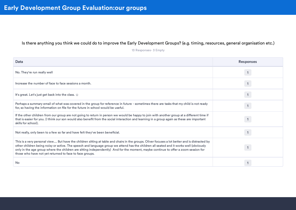#### Is there anything you think we could do to improve the Early Development Groups? (e.g. timing, resources, general organisation etc.)

| Data                                                                                                                                                                                                                                                                                                                                                                                                                                                                                      | <b>Responses</b> |
|-------------------------------------------------------------------------------------------------------------------------------------------------------------------------------------------------------------------------------------------------------------------------------------------------------------------------------------------------------------------------------------------------------------------------------------------------------------------------------------------|------------------|
| No. They're run really well                                                                                                                                                                                                                                                                                                                                                                                                                                                               |                  |
| Increase the number of face to face sessions a month.                                                                                                                                                                                                                                                                                                                                                                                                                                     |                  |
| It's great. Let's just get back into the class. $\odot$                                                                                                                                                                                                                                                                                                                                                                                                                                   |                  |
| Perhaps a summary email of what was covered in the group for reference in future - sometimes there are tasks that my child is not ready<br>for, so having the information on file for the future in school would be useful.                                                                                                                                                                                                                                                               |                  |
| If the other children from our group are not going to return in person we would be happy to join with another group at a different time if<br>that is easier for you. (I think our son would also benefit from the social interaction and learning in a group again as these are important<br>skills for school).                                                                                                                                                                         |                  |
| Not really, only been to a few so far and have felt they've been beneficial.                                                                                                                                                                                                                                                                                                                                                                                                              |                  |
| This is a very personal view But have the children sitting at table and chairs in the groups. Oliver focuses a lot better and is distracted by<br>other children being noisy or active. The speech and language group we attend has the children all seated and it works well (obviously<br>only in the age group where the children are sitting independently) And for the moment, maybe continue to offer a zoom session for<br>those who have not yet returned to face to face groups. |                  |
| No                                                                                                                                                                                                                                                                                                                                                                                                                                                                                        |                  |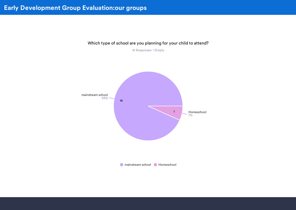

#### Which type of school are you planning for your child to attend?